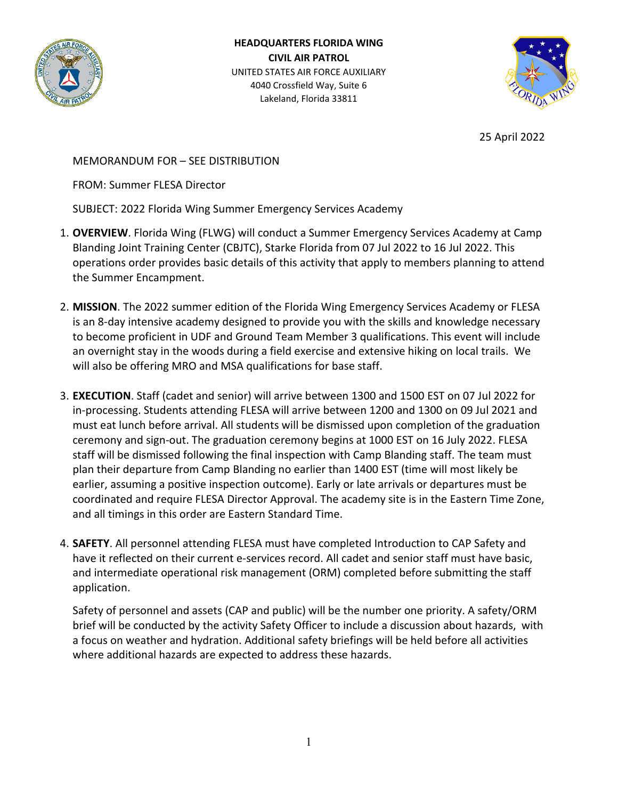

**HEADQUARTERS FLORIDA WING CIVIL AIR PATROL** UNITED STATES AIR FORCE AUXILIARY 4040 Crossfield Way, Suite 6 Lakeland, Florida 33811



25 April 2022

MEMORANDUM FOR – SEE DISTRIBUTION

FROM: Summer FLESA Director

SUBJECT: 2022 Florida Wing Summer Emergency Services Academy

- 1. **OVERVIEW**. Florida Wing (FLWG) will conduct a Summer Emergency Services Academy at Camp Blanding Joint Training Center (CBJTC), Starke Florida from 07 Jul 2022 to 16 Jul 2022. This operations order provides basic details of this activity that apply to members planning to attend the Summer Encampment.
- 2. **MISSION**. The 2022 summer edition of the Florida Wing Emergency Services Academy or FLESA is an 8-day intensive academy designed to provide you with the skills and knowledge necessary to become proficient in UDF and Ground Team Member 3 qualifications. This event will include an overnight stay in the woods during a field exercise and extensive hiking on local trails. We will also be offering MRO and MSA qualifications for base staff.
- 3. **EXECUTION**. Staff (cadet and senior) will arrive between 1300 and 1500 EST on 07 Jul 2022 for in-processing. Students attending FLESA will arrive between 1200 and 1300 on 09 Jul 2021 and must eat lunch before arrival. All students will be dismissed upon completion of the graduation ceremony and sign-out. The graduation ceremony begins at 1000 EST on 16 July 2022. FLESA staff will be dismissed following the final inspection with Camp Blanding staff. The team must plan their departure from Camp Blanding no earlier than 1400 EST (time will most likely be earlier, assuming a positive inspection outcome). Early or late arrivals or departures must be coordinated and require FLESA Director Approval. The academy site is in the Eastern Time Zone, and all timings in this order are Eastern Standard Time.
- 4. **SAFETY**. All personnel attending FLESA must have completed Introduction to CAP Safety and have it reflected on their current e-services record. All cadet and senior staff must have basic, and intermediate operational risk management (ORM) completed before submitting the staff application.

Safety of personnel and assets (CAP and public) will be the number one priority. A safety/ORM brief will be conducted by the activity Safety Officer to include a discussion about hazards, with a focus on weather and hydration. Additional safety briefings will be held before all activities where additional hazards are expected to address these hazards.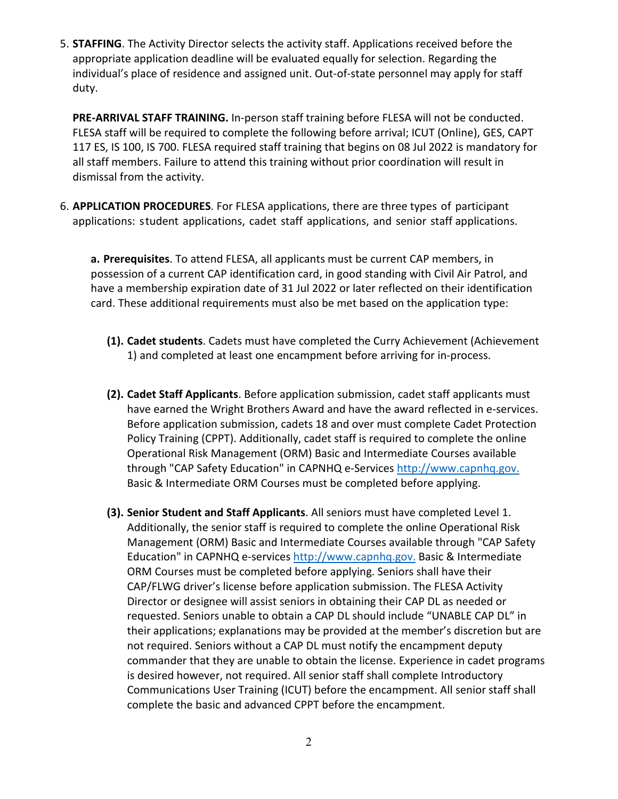5. **STAFFING**. The Activity Director selects the activity staff. Applications received before the appropriate application deadline will be evaluated equally for selection. Regarding the individual's place of residence and assigned unit. Out-of-state personnel may apply for staff duty.

**PRE-ARRIVAL STAFF TRAINING.** In-person staff training before FLESA will not be conducted. FLESA staff will be required to complete the following before arrival; ICUT (Online), GES, CAPT 117 ES, IS 100, IS 700. FLESA required staff training that begins on 08 Jul 2022 is mandatory for all staff members. Failure to attend this training without prior coordination will result in dismissal from the activity.

6. **APPLICATION PROCEDURES**. For FLESA applications, there are three types of participant applications: student applications, cadet staff applications, and senior staff applications.

**a. Prerequisites**. To attend FLESA, all applicants must be current CAP members, in possession of a current CAP identification card, in good standing with Civil Air Patrol, and have a membership expiration date of 31 Jul 2022 or later reflected on their identification card. These additional requirements must also be met based on the application type:

- **(1). Cadet students**. Cadets must have completed the Curry Achievement (Achievement 1) and completed at least one encampment before arriving for in-process.
- **(2). Cadet Staff Applicants**. Before application submission, cadet staff applicants must have earned the Wright Brothers Award and have the award reflected in e-services. Before application submission, cadets 18 and over must complete Cadet Protection Policy Training (CPPT). Additionally, cadet staff is required to complete the online Operational Risk Management (ORM) Basic and Intermediate Courses available through "CAP Safety Education" in CAPNHQ e-Services [http://www.capnhq.gov.](http://www.capnhq.gov/) Basic & Intermediate ORM Courses must be completed before applying.
- **(3). Senior Student and Staff Applicants**. All seniors must have completed Level 1. Additionally, the senior staff is required to complete the online Operational Risk Management (ORM) Basic and Intermediate Courses available through "CAP Safety Education" in CAPNHQ e-service[s http://www.capnhq.gov.](http://www.capnhq.gov/) Basic & Intermediate ORM Courses must be completed before applying. Seniors shall have their CAP/FLWG driver's license before application submission. The FLESA Activity Director or designee will assist seniors in obtaining their CAP DL as needed or requested. Seniors unable to obtain a CAP DL should include "UNABLE CAP DL" in their applications; explanations may be provided at the member's discretion but are not required. Seniors without a CAP DL must notify the encampment deputy commander that they are unable to obtain the license. Experience in cadet programs is desired however, not required. All senior staff shall complete Introductory Communications User Training (ICUT) before the encampment. All senior staff shall complete the basic and advanced CPPT before the encampment.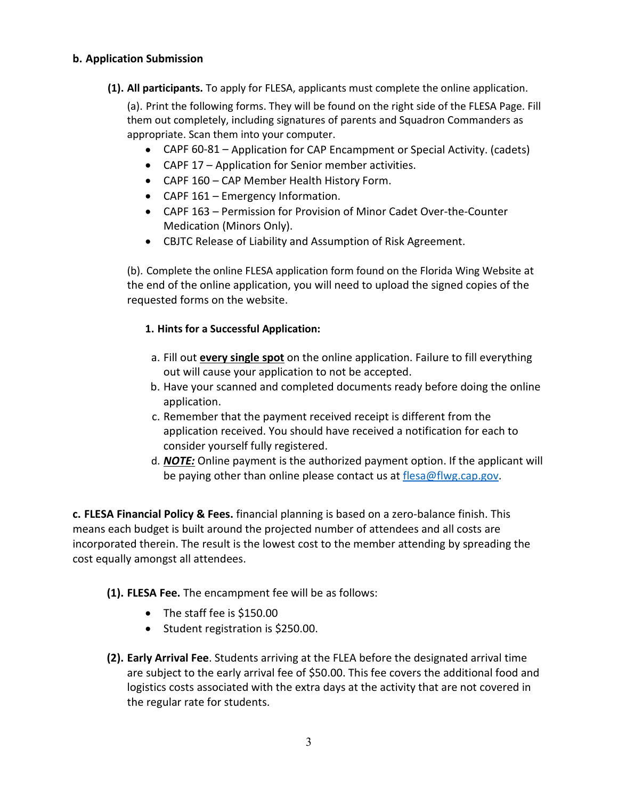#### **b. Application Submission**

**(1). All participants.** To apply for FLESA, applicants must complete the online application.

(a). Print the following forms. They will be found on the right side of the FLESA Page. Fill them out completely, including signatures of parents and Squadron Commanders as appropriate. Scan them into your computer.

- CAPF 60-81 Application for CAP Encampment or Special Activity. (cadets)
- CAPF 17 Application for Senior member activities.
- CAPF 160 CAP Member Health History Form.
- CAPF 161 Emergency Information.
- CAPF 163 Permission for Provision of Minor Cadet Over-the-Counter Medication (Minors Only).
- CBJTC Release of Liability and Assumption of Risk Agreement.

(b). Complete the online FLESA application form found on the Florida Wing Website at the end of the online application, you will need to upload the signed copies of the requested forms on the website.

### **1. Hints for a Successful Application:**

- a. Fill out **every single spot** on the online application. Failure to fill everything out will cause your application to not be accepted.
- b. Have your scanned and completed documents ready before doing the online application.
- c. Remember that the payment received receipt is different from the application received. You should have received a notification for each to consider yourself fully registered.
- d. *NOTE:* Online payment is the authorized payment option. If the applicant will be paying other than online please contact us at [flesa@flwg.cap.gov.](mailto:flesa@flwg.cap.gov)

**c. FLESA Financial Policy & Fees.** financial planning is based on a zero-balance finish. This means each budget is built around the projected number of attendees and all costs are incorporated therein. The result is the lowest cost to the member attending by spreading the cost equally amongst all attendees.

## **(1). FLESA Fee.** The encampment fee will be as follows:

- The staff fee is \$150.00
- Student registration is \$250.00.
- **(2). Early Arrival Fee**. Students arriving at the FLEA before the designated arrival time are subject to the early arrival fee of \$50.00. This fee covers the additional food and logistics costs associated with the extra days at the activity that are not covered in the regular rate for students.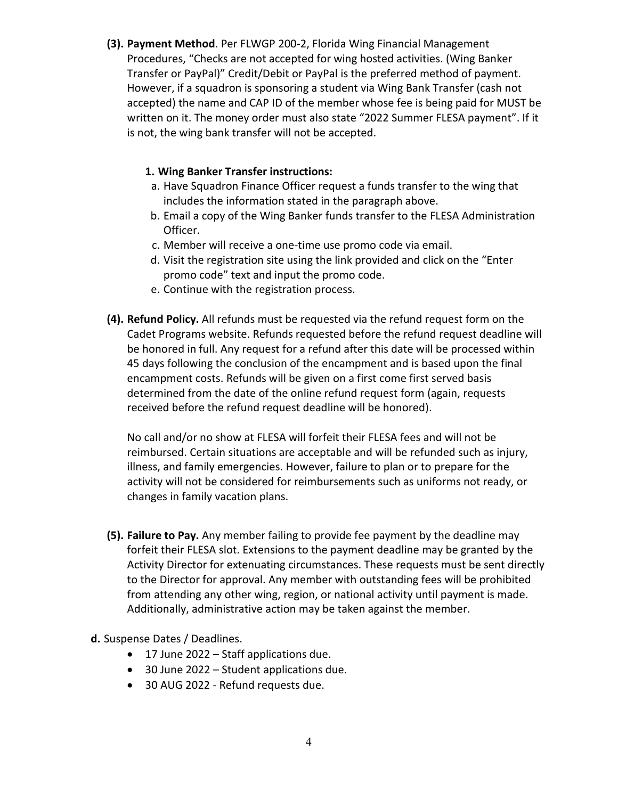**(3). Payment Method**. Per FLWGP 200-2, Florida Wing Financial Management Procedures, "Checks are not accepted for wing hosted activities. (Wing Banker Transfer or PayPal)" Credit/Debit or PayPal is the preferred method of payment. However, if a squadron is sponsoring a student via Wing Bank Transfer (cash not accepted) the name and CAP ID of the member whose fee is being paid for MUST be written on it. The money order must also state "2022 Summer FLESA payment". If it is not, the wing bank transfer will not be accepted.

## **1. Wing Banker Transfer instructions:**

- a. Have Squadron Finance Officer request a funds transfer to the wing that includes the information stated in the paragraph above.
- b. Email a copy of the Wing Banker funds transfer to the FLESA Administration Officer.
- c. Member will receive a one-time use promo code via email.
- d. Visit the registration site using the link provided and click on the "Enter promo code" text and input the promo code.
- e. Continue with the registration process.
- **(4). Refund Policy.** All refunds must be requested via the refund request form on the Cadet Programs website. Refunds requested before the refund request deadline will be honored in full. Any request for a refund after this date will be processed within 45 days following the conclusion of the encampment and is based upon the final encampment costs. Refunds will be given on a first come first served basis determined from the date of the online refund request form (again, requests received before the refund request deadline will be honored).

No call and/or no show at FLESA will forfeit their FLESA fees and will not be reimbursed. Certain situations are acceptable and will be refunded such as injury, illness, and family emergencies. However, failure to plan or to prepare for the activity will not be considered for reimbursements such as uniforms not ready, or changes in family vacation plans.

- **(5). Failure to Pay.** Any member failing to provide fee payment by the deadline may forfeit their FLESA slot. Extensions to the payment deadline may be granted by the Activity Director for extenuating circumstances. These requests must be sent directly to the Director for approval. Any member with outstanding fees will be prohibited from attending any other wing, region, or national activity until payment is made. Additionally, administrative action may be taken against the member.
- **d.** Suspense Dates / Deadlines.
	- 17 June 2022 Staff applications due.
	- 30 June 2022 Student applications due.
	- 30 AUG 2022 Refund requests due.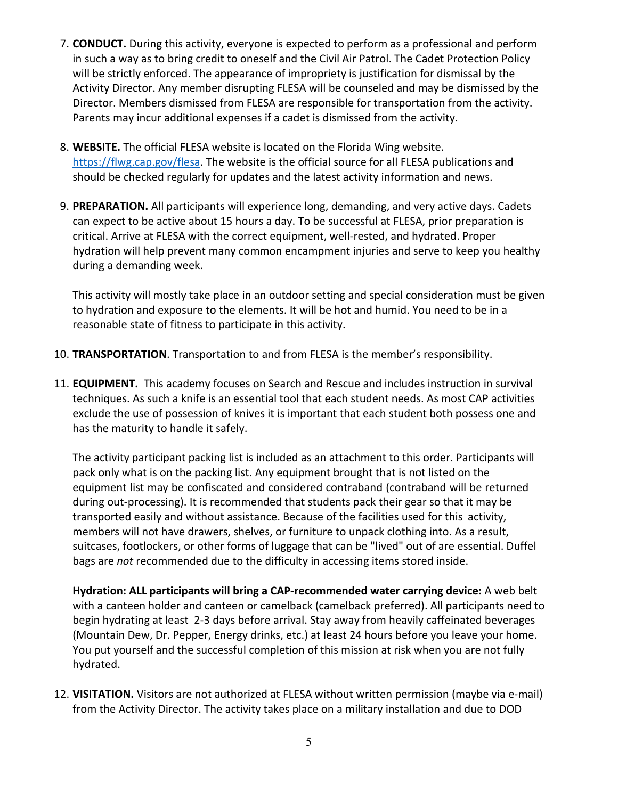- 7. **CONDUCT.** During this activity, everyone is expected to perform as a professional and perform in such a way as to bring credit to oneself and the Civil Air Patrol. The Cadet Protection Policy will be strictly enforced. The appearance of impropriety is justification for dismissal by the Activity Director. Any member disrupting FLESA will be counseled and may be dismissed by the Director. Members dismissed from FLESA are responsible for transportation from the activity. Parents may incur additional expenses if a cadet is dismissed from the activity.
- 8. **WEBSITE.** The official FLESA website is located on the Florida Wing website. [https://flwg.cap.gov/flesa.](https://flwg.cap.gov/flesa) The website is the official source for all FLESA publications and should be checked regularly for updates and the latest activity information and news.
- 9. **PREPARATION.** All participants will experience long, demanding, and very active days. Cadets can expect to be active about 15 hours a day. To be successful at FLESA, prior preparation is critical. Arrive at FLESA with the correct equipment, well-rested, and hydrated. Proper hydration will help prevent many common encampment injuries and serve to keep you healthy during a demanding week.

This activity will mostly take place in an outdoor setting and special consideration must be given to hydration and exposure to the elements. It will be hot and humid. You need to be in a reasonable state of fitness to participate in this activity.

- 10. **TRANSPORTATION**. Transportation to and from FLESA is the member's responsibility.
- 11. **EQUIPMENT.** This academy focuses on Search and Rescue and includes instruction in survival techniques. As such a knife is an essential tool that each student needs. As most CAP activities exclude the use of possession of knives it is important that each student both possess one and has the maturity to handle it safely.

The activity participant packing list is included as an attachment to this order. Participants will pack only what is on the packing list. Any equipment brought that is not listed on the equipment list may be confiscated and considered contraband (contraband will be returned during out-processing). It is recommended that students pack their gear so that it may be transported easily and without assistance. Because of the facilities used for this activity, members will not have drawers, shelves, or furniture to unpack clothing into. As a result, suitcases, footlockers, or other forms of luggage that can be "lived" out of are essential. Duffel bags are *not* recommended due to the difficulty in accessing items stored inside.

**Hydration: ALL participants will bring a CAP-recommended water carrying device:** A web belt with a canteen holder and canteen or camelback (camelback preferred). All participants need to begin hydrating at least 2-3 days before arrival. Stay away from heavily caffeinated beverages (Mountain Dew, Dr. Pepper, Energy drinks, etc.) at least 24 hours before you leave your home. You put yourself and the successful completion of this mission at risk when you are not fully hydrated.

12. **VISITATION.** Visitors are not authorized at FLESA without written permission (maybe via e-mail) from the Activity Director. The activity takes place on a military installation and due to DOD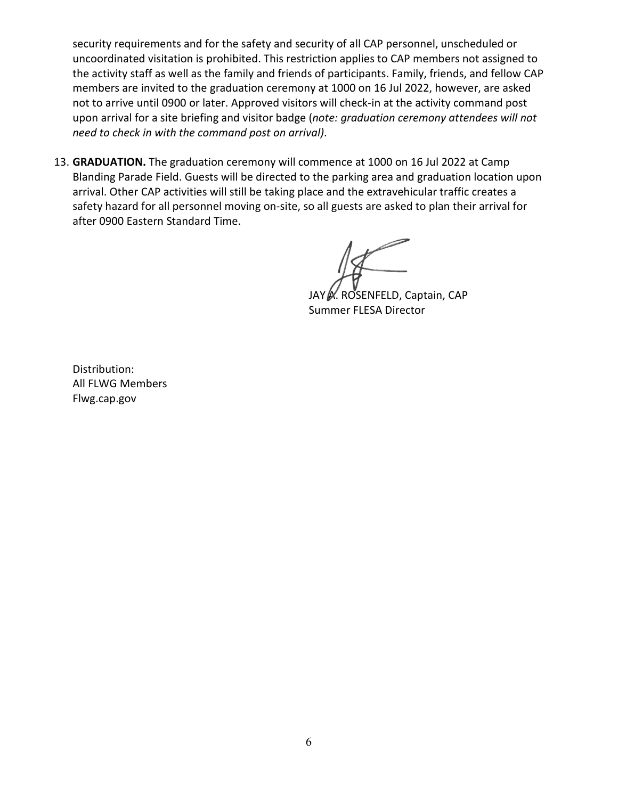security requirements and for the safety and security of all CAP personnel, unscheduled or uncoordinated visitation is prohibited. This restriction applies to CAP members not assigned to the activity staff as well as the family and friends of participants. Family, friends, and fellow CAP members are invited to the graduation ceremony at 1000 on 16 Jul 2022, however, are asked not to arrive until 0900 or later. Approved visitors will check-in at the activity command post upon arrival for a site briefing and visitor badge (*note: graduation ceremony attendees will not need to check in with the command post on arrival)*.

13. **GRADUATION.** The graduation ceremony will commence at 1000 on 16 Jul 2022 at Camp Blanding Parade Field. Guests will be directed to the parking area and graduation location upon arrival. Other CAP activities will still be taking place and the extravehicular traffic creates a safety hazard for all personnel moving on-site, so all guests are asked to plan their arrival for after 0900 Eastern Standard Time.

JAY *.* ROSENFELD, Captain, CAP Summer FLESA Director

Distribution: All FLWG Members Flwg.cap.gov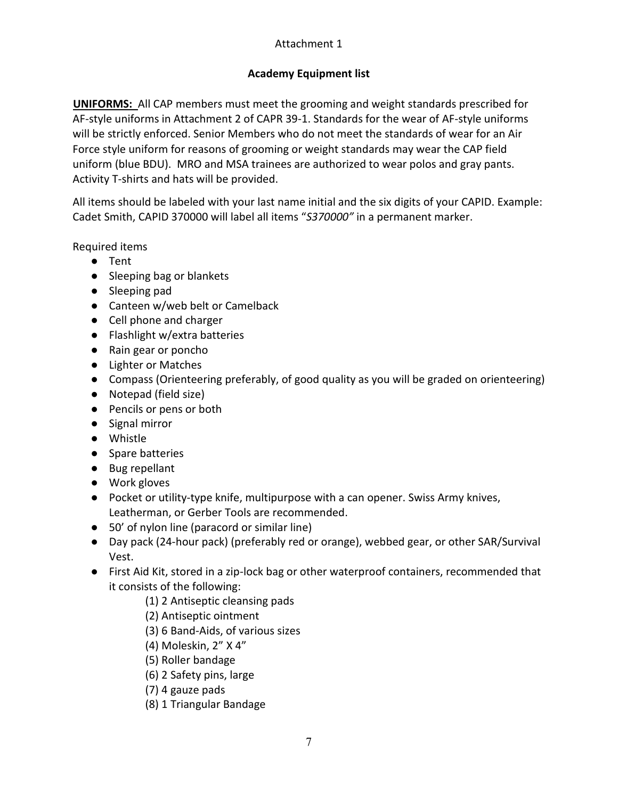# Attachment 1

# **Academy Equipment list**

**UNIFORMS:** All CAP members must meet the grooming and weight standards prescribed for AF-style uniforms in Attachment 2 of CAPR 39-1. Standards for the wear of AF-style uniforms will be strictly enforced. Senior Members who do not meet the standards of wear for an Air Force style uniform for reasons of grooming or weight standards may wear the CAP field uniform (blue BDU). MRO and MSA trainees are authorized to wear polos and gray pants. Activity T-shirts and hats will be provided.

All items should be labeled with your last name initial and the six digits of your CAPID. Example: Cadet Smith, CAPID 370000 will label all items "*S370000"* in a permanent marker.

Required items

- Tent
- Sleeping bag or blankets
- Sleeping pad
- Canteen w/web belt or Camelback
- Cell phone and charger
- Flashlight w/extra batteries
- Rain gear or poncho
- Lighter or Matches
- Compass (Orienteering preferably, of good quality as you will be graded on orienteering)
- Notepad (field size)
- Pencils or pens or both
- Signal mirror
- Whistle
- Spare batteries
- Bug repellant
- Work gloves
- Pocket or utility-type knife, multipurpose with a can opener. Swiss Army knives, Leatherman, or Gerber Tools are recommended.
- 50' of nylon line (paracord or similar line)
- Day pack (24-hour pack) (preferably red or orange), webbed gear, or other SAR/Survival Vest.
- First Aid Kit, stored in a zip-lock bag or other waterproof containers, recommended that it consists of the following:
	- (1) 2 Antiseptic cleansing pads
	- (2) Antiseptic ointment
	- (3) 6 Band-Aids, of various sizes
	- (4) Moleskin, 2" X 4"
	- (5) Roller bandage
	- (6) 2 Safety pins, large
	- (7) 4 gauze pads
	- (8) 1 Triangular Bandage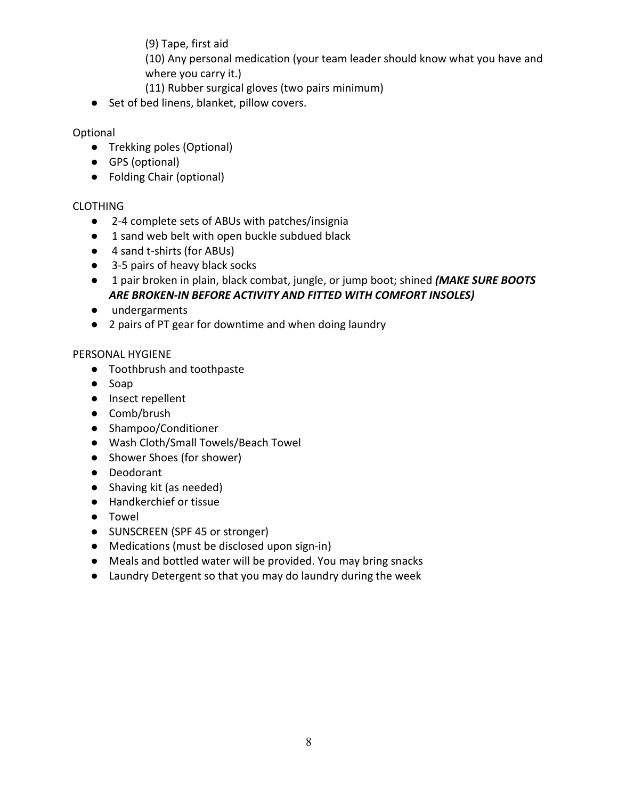(9) Tape, first aid

(10) Any personal medication (your team leader should know what you have and where you carry it.)

- (11) Rubber surgical gloves (two pairs minimum)
- Set of bed linens, blanket, pillow covers.

## Optional

- Trekking poles (Optional)
- GPS (optional)
- Folding Chair (optional)

## CLOTHING

- 2-4 complete sets of ABUs with patches/insignia
- 1 sand web belt with open buckle subdued black
- 4 sand t-shirts (for ABUs)
- 3-5 pairs of heavy black socks
- 1 pair broken in plain, black combat, jungle, or jump boot; shined *(MAKE SURE BOOTS ARE BROKEN-IN BEFORE ACTIVITY AND FITTED WITH COMFORT INSOLES)*
- undergarments
- 2 pairs of PT gear for downtime and when doing laundry

### PERSONAL HYGIENE

- Toothbrush and toothpaste
- Soap
- Insect repellent
- Comb/brush
- Shampoo/Conditioner
- Wash Cloth/Small Towels/Beach Towel
- Shower Shoes (for shower)
- Deodorant
- Shaving kit (as needed)
- Handkerchief or tissue
- Towel
- SUNSCREEN (SPF 45 or stronger)
- Medications (must be disclosed upon sign-in)
- Meals and bottled water will be provided. You may bring snacks
- Laundry Detergent so that you may do laundry during the week